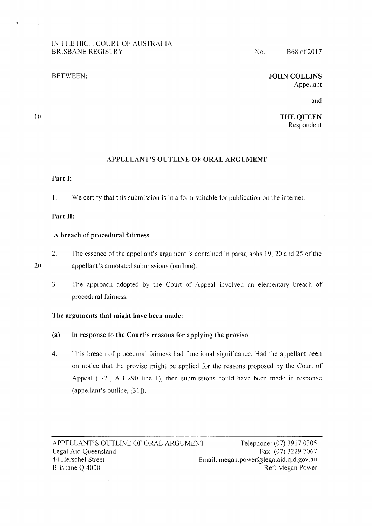10

20

# IN THE HIGH COURT OF AUSTRALIA BRISBANE REGISTRY

#### BETWEEN:

No. B68 of 2017

#### **JOHN COLLINS**  Appellant

and

**THE** QUEEN Respondent

# **APPELLANT'S OUTLINE OF ORAL ARGUMENT**

#### **Part 1:**

I. We certify that this submission is in a form suitable for publication on the internet.

# **Part 11:**

# **A breach of procedural fairness**

- 2. The essence of the appellant's argument is contained in paragraphs 19, 20 and 25 of the appellant's annotated submissions **(outline).**
- 3. The approach adopted by the Court of Appeal involved an elementary breach of procedural fairness.

# **The arguments that might have been made:**

# **(a) in response to the Court's reasons for applying the proviso**

4. This breach of procedural fairness had functional significance. Had the appellant been on notice that the proviso might be applied for the reasons proposed by the Court of Appeal ([72], AB 290 line 1), then submissions could have been made in response (appellant's outline, [31 ]).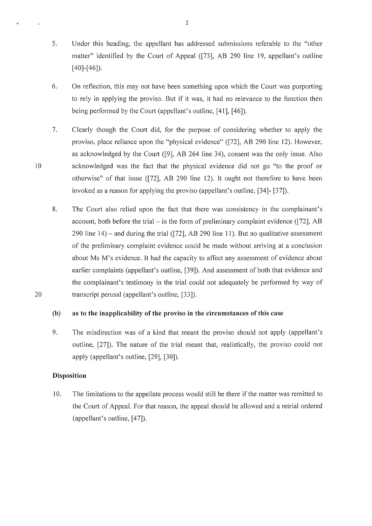- 5. Under this heading, the appellant has addressed submissions referable to the "other matter" identified by the Court of Appeal ([73], AB 290 line 19, appellant's outline  $[40]-[46]$ .
- 6. On reflection, this may not have been something upon which the Court was purporting to rely in applying the proviso. But if it was, it had no relevance to the function then being performed by the Court (appellant's outline, [41], [46]).
- 7. Clearly though the Court did, for the purpose of considering whether to apply the proviso, place reliance upon the "physical evidence" ([72], AB 290 line 12). However, as acknowledged by the Court  $([9]$ , AB 264 line 34), consent was the only issue. Also 10 acknowledged was the fact that the physical evidence did not go "to the proof or otherwise" of that issue ([72], AB 290 line 12). It ought not therefore to have been invoked as a reason for applying the proviso (appellant's outline, [34]- [37]).
	- 8. The Court also relied upon the fact that there was consistency in the complainant's account, both before the trial – in the form of preliminary complaint evidence ( $[72]$ , AB 290 line  $14$ ) – and during the trial ([72], AB 290 line 11). But no qualitative assessment of the preliminary complaint evidence could be made without arriving at a conclusion about Ms M's evidence. It had the capacity to affect any assessment of evidence about earlier complaints (appellant's outline, [39]). And assessment of both that evidence and the complainant's testimony in the trial could not adequately be performed by way of transcript perusal (appellant's outline, [33]).

#### **(b) as to the inapplicability of the proviso in the circumstances of this case**

9. The misdirection was of a kind that meant the proviso should not apply (appellant's outline, [27]). The nature of the trial meant that, realistically, the proviso could not apply (appellant's outline, [29], [30]).

#### **Disposition**

10. The limitations to the appellate process would still be there if the matter was remitted to the Court of Appeal. For that reason, the appeal should be allowed and a retrial ordered (appellant's outline, [47]).

d.

 $\overline{a}$ 

20